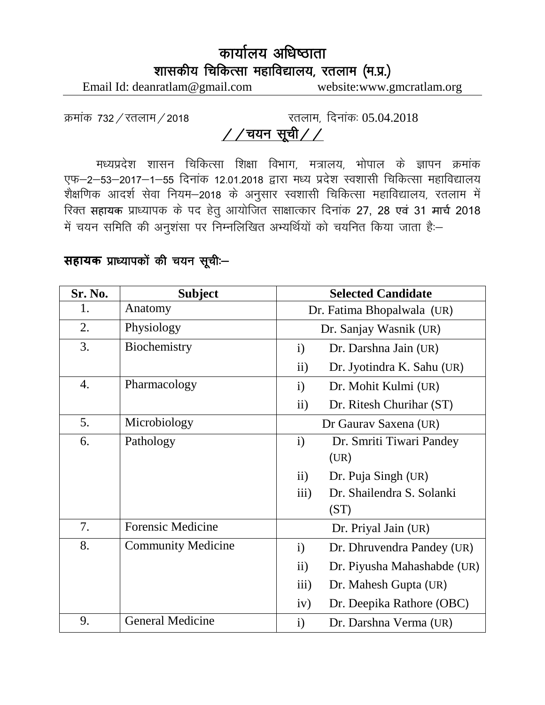## कार्यालय अधिष्ठाता शासकीय चिकित्सा महाविद्यालय, रतलाम (म.प्र.)

Email Id: deanratlam@gmail.com website:www.gmcratlam.org

क्रमांक 732/रतलाम/2018  $\overline{a}$ रतलाम, दिनांक: 05.04.2018

## $\frac{1}{2}$  / ययन सूची / /

मध्यप्रदेश शासन चिकित्सा शिक्षा विभाग, मत्रालय, भोपाल के ज्ञापन क्रमांक एफ-2-53-2017-1-55 दिनांक 12.01.2018 द्वारा मध्य प्रदेश स्वशासी चिकित्सा महाविद्यालय .<br>शैक्षणिक आदर्श सेवा नियम–2018 के अनुसार स्वशासी चिकित्सा महाविद्यालय, रतलाम में रिक्त सहायक प्राध्यापक के पद हेतु आयोजित साक्षात्कार दिनांक 27, 28 एवं 31 मार्च 2018 में चयन समिति की अनुशंसा पर निम्नलिखित अभ्यर्थियों को चयनित किया जाता है:-

## **सहायक** प्राध्यापकों की चयन सूची:-

| Sr. No. | <b>Subject</b>            | <b>Selected Candidate</b>                            |  |  |
|---------|---------------------------|------------------------------------------------------|--|--|
| 1.      | Anatomy                   | Dr. Fatima Bhopalwala (UR)                           |  |  |
| 2.      | Physiology                | Dr. Sanjay Wasnik (UR)                               |  |  |
| 3.      | Biochemistry              | Dr. Darshna Jain (UR)<br>$\mathbf{i}$                |  |  |
|         |                           | ii)<br>Dr. Jyotindra K. Sahu (UR)                    |  |  |
| 4.      | Pharmacology              | Dr. Mohit Kulmi (UR)<br>$\mathbf{i}$                 |  |  |
|         |                           | ii)<br>Dr. Ritesh Churihar (ST)                      |  |  |
| 5.      | Microbiology              | Dr Gaurav Saxena (UR)                                |  |  |
| 6.      | Pathology                 | $\mathbf{i}$<br>Dr. Smriti Tiwari Pandey             |  |  |
|         |                           | (UR)                                                 |  |  |
|         |                           | $\mathbf{ii}$<br>Dr. Puja Singh (UR)                 |  |  |
|         |                           | Dr. Shailendra S. Solanki<br>$\overline{\text{iii}}$ |  |  |
|         |                           | (ST)                                                 |  |  |
| 7.      | <b>Forensic Medicine</b>  | Dr. Priyal Jain (UR)                                 |  |  |
| 8.      | <b>Community Medicine</b> | Dr. Dhruvendra Pandey (UR)<br>$\mathbf{i}$           |  |  |
|         |                           | ii)<br>Dr. Piyusha Mahashabde (UR)                   |  |  |
|         |                           | iii)<br>Dr. Mahesh Gupta (UR)                        |  |  |
|         |                           | iv)<br>Dr. Deepika Rathore (OBC)                     |  |  |
| 9.      | <b>General Medicine</b>   | $\mathbf{i}$<br>Dr. Darshna Verma (UR)               |  |  |